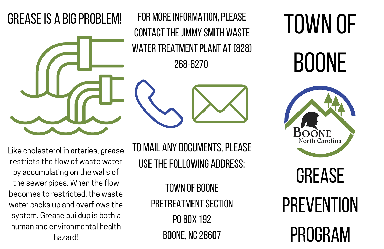Like cholesterol in arteries, grease restricts the flow of waste water by accumulating on the walls of the sewer pipes. When the flow becomes to restricted, the waste water backs up and overflows the system. Grease buildup is both a human and environmental health hazard!

TO MAIL ANY DOCUMENTS, PLEASE USE THE FOLLOWING ADDRESS:

> **TOWN OF BOONE** PRETREATMENT SECTION **PO BOX 192** Boone, NC28607

# Town of **BOONE**



#### **GREASE IS A BIG PROBLEM!**



FOR MORE INFORMATION, PLEASE CONTACT THE JIMMY SMITH WASTE WATER TREATMENT PLANT AT (828) 268-6270

# Grease **PREVENTION** Program